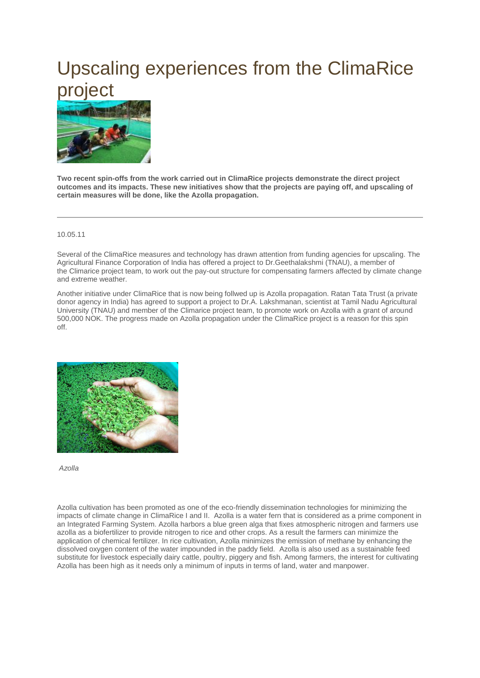## Upscaling experiences from the ClimaRice project



**Two recent spin-offs from the work carried out in ClimaRice projects demonstrate the direct project outcomes and its impacts. These new initiatives show that the projects are paying off, and upscaling of certain measures will be done, like the Azolla propagation.** 

## 10.05.11

Several of the ClimaRice measures and technology has drawn attention from funding agencies for upscaling. The Agricultural Finance Corporation of India has offered a project to Dr.Geethalakshmi (TNAU), a member of the Climarice project team, to work out the pay-out structure for compensating farmers affected by climate change and extreme weather.

Another initiative under ClimaRice that is now being follwed up is Azolla propagation. Ratan Tata Trust (a private donor agency in India) has agreed to support a project to Dr.A. Lakshmanan, scientist at Tamil Nadu Agricultural University (TNAU) and member of the Climarice project team, to promote work on Azolla with a grant of around 500,000 NOK. The progress made on Azolla propagation under the ClimaRice project is a reason for this spin off.



*Azolla*

Azolla cultivation has been promoted as one of the eco-friendly dissemination technologies for minimizing the impacts of climate change in ClimaRice I and II. Azolla is a water fern that is considered as a prime component in an Integrated Farming System. Azolla harbors a blue green alga that fixes atmospheric nitrogen and farmers use azolla as a biofertilizer to provide nitrogen to rice and other crops. As a result the farmers can minimize the application of chemical fertilizer. In rice cultivation, Azolla minimizes the emission of methane by enhancing the dissolved oxygen content of the water impounded in the paddy field. Azolla is also used as a sustainable feed substitute for livestock especially dairy cattle, poultry, piggery and fish. Among farmers, the interest for cultivating Azolla has been high as it needs only a minimum of inputs in terms of land, water and manpower.